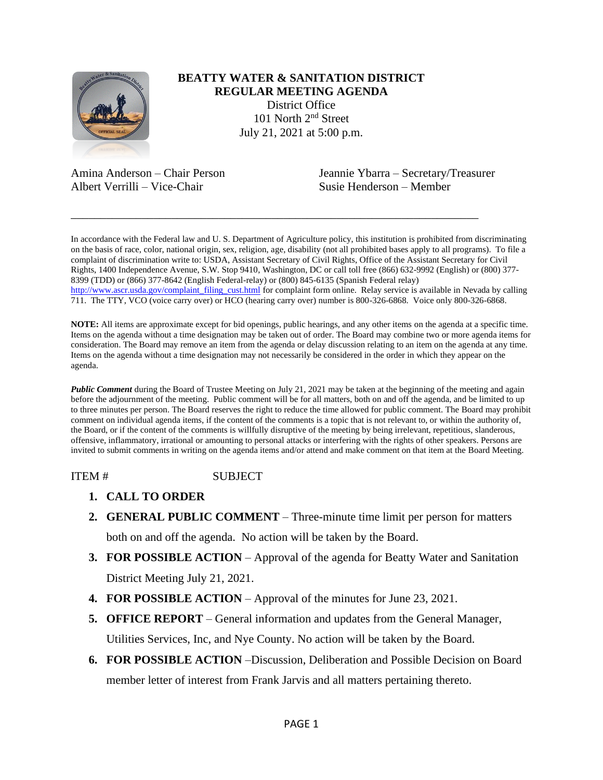

## **BEATTY WATER & SANITATION DISTRICT REGULAR MEETING AGENDA** District Office 101 North 2nd Street July 21, 2021 at 5:00 p.m.

Albert Verrilli – Vice-Chair Susie Henderson – Member

Amina Anderson – Chair Person Jeannie Ybarra – Secretary/Treasurer

In accordance with the Federal law and U. S. Department of Agriculture policy, this institution is prohibited from discriminating on the basis of race, color, national origin, sex, religion, age, disability (not all prohibited bases apply to all programs). To file a complaint of discrimination write to: USDA, Assistant Secretary of Civil Rights, Office of the Assistant Secretary for Civil Rights, 1400 Independence Avenue, S.W. Stop 9410, Washington, DC or call toll free (866) 632-9992 (English) or (800) 377- 8399 (TDD) or (866) 377-8642 (English Federal-relay) or (800) 845-6135 (Spanish Federal relay) [http://www.ascr.usda.gov/complaint\\_filing\\_cust.html](http://www.ascr.usda.gov/complaint_filing_cust.html) for complaint form online. Relay service is available in Nevada by calling 711. The TTY, VCO (voice carry over) or HCO (hearing carry over) number is 800-326-6868. Voice only 800-326-6868.

\_\_\_\_\_\_\_\_\_\_\_\_\_\_\_\_\_\_\_\_\_\_\_\_\_\_\_\_\_\_\_\_\_\_\_\_\_\_\_\_\_\_\_\_\_\_\_\_\_\_\_\_\_\_\_\_\_\_\_\_\_\_\_\_\_\_\_\_\_

**NOTE:** All items are approximate except for bid openings, public hearings, and any other items on the agenda at a specific time. Items on the agenda without a time designation may be taken out of order. The Board may combine two or more agenda items for consideration. The Board may remove an item from the agenda or delay discussion relating to an item on the agenda at any time. Items on the agenda without a time designation may not necessarily be considered in the order in which they appear on the agenda.

*Public Comment* during the Board of Trustee Meeting on July 21, 2021 may be taken at the beginning of the meeting and again before the adjournment of the meeting. Public comment will be for all matters, both on and off the agenda, and be limited to up to three minutes per person. The Board reserves the right to reduce the time allowed for public comment. The Board may prohibit comment on individual agenda items, if the content of the comments is a topic that is not relevant to, or within the authority of, the Board, or if the content of the comments is willfully disruptive of the meeting by being irrelevant, repetitious, slanderous, offensive, inflammatory, irrational or amounting to personal attacks or interfering with the rights of other speakers. Persons are invited to submit comments in writing on the agenda items and/or attend and make comment on that item at the Board Meeting.

ITEM # SUBJECT

- **1. CALL TO ORDER**
- **2. GENERAL PUBLIC COMMENT** Three-minute time limit per person for matters both on and off the agenda. No action will be taken by the Board.
- **3. FOR POSSIBLE ACTION** Approval of the agenda for Beatty Water and Sanitation District Meeting July 21, 2021.
- **4. FOR POSSIBLE ACTION**  Approval of the minutes for June 23, 2021.
- **5. OFFICE REPORT**  General information and updates from the General Manager, Utilities Services, Inc, and Nye County. No action will be taken by the Board.
- **6. FOR POSSIBLE ACTION** –Discussion, Deliberation and Possible Decision on Board member letter of interest from Frank Jarvis and all matters pertaining thereto.